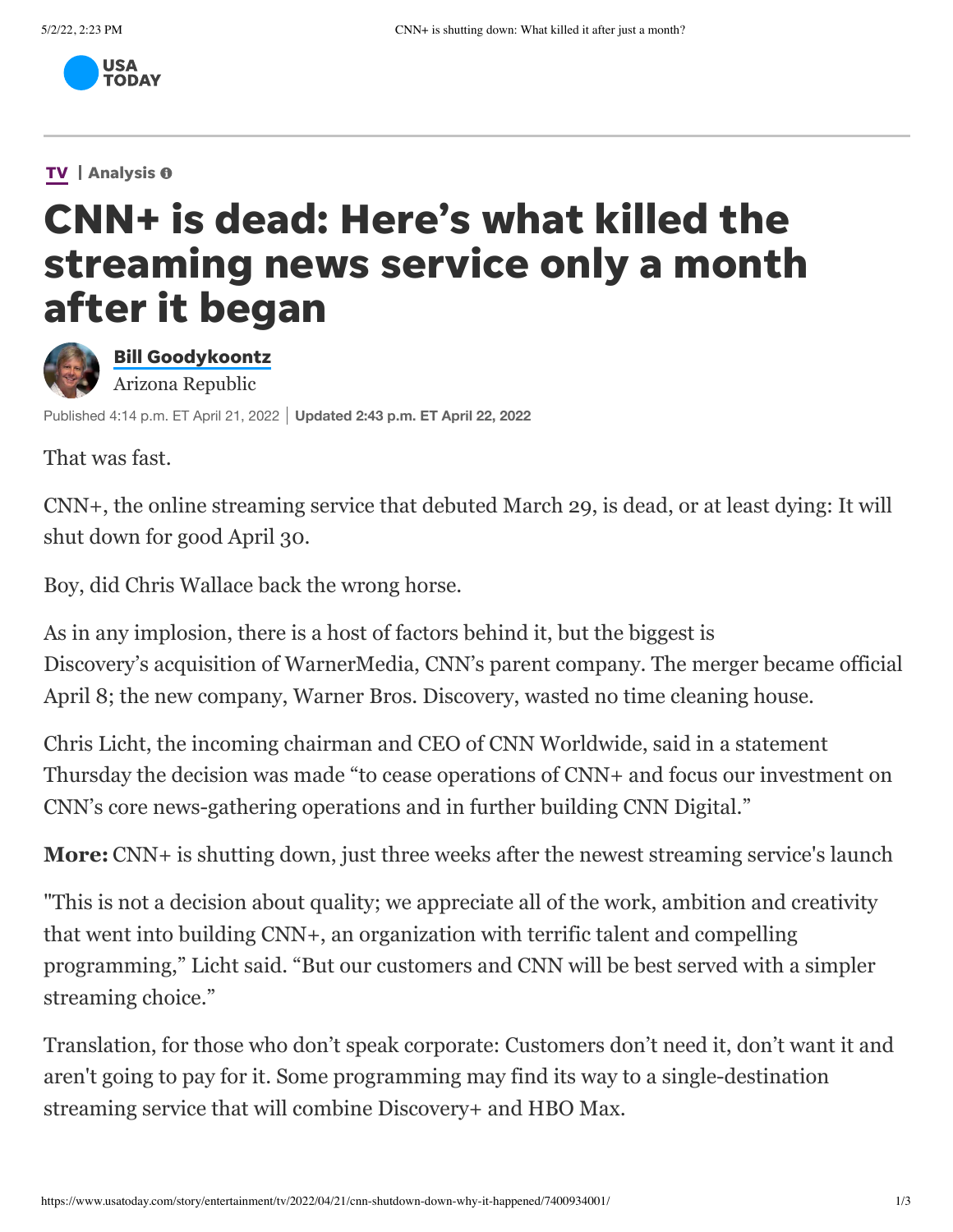

[TV](https://www.usatoday.com/entertainment/tv/) Analysis

## CNN+ is dead: Here's what killed the streaming news service only a month after it began



Bill [Goodykoontz](https://www.azcentral.com/staff/2684036001/bill-goodykoontz/) Arizona Republic

Published 4:14 p.m. ET April 21, 2022 **Updated 2:43 p.m. ET April 22, 2022**

That was fast.

CNN+, the online streaming service [that debuted March 29,](https://www.usatoday.com/story/entertainment/media/2022/03/30/cnn-plus-launch-will-smith-slap-coverage/7134806001/) is dead, or at least dying: It will shut down for good April 30.

Boy, did [Chris Wallace back the wrong horse](https://www.usatoday.com/story/entertainment/media/2021/12/12/chris-wallace-leaves-fox-news-cnn-plus/6485153001/).

As in any implosion, there is a host of factors behind it, but the biggest is Discovery's acquisition of WarnerMedia, CNN's parent company. The merger became official April 8; the new company, Warner Bros. Discovery, wasted no time cleaning house.

Chris Licht, the incoming chairman and CEO of CNN Worldwide, said in a statement Thursday the decision was made "to cease operations of CNN+ and focus our investment on CNN's core news-gathering operations and in further building CNN Digital."

**More:** [CNN+ is shutting down, just three weeks after the newest streaming service's launch](https://www.usatoday.com/story/entertainment/tv/2022/04/21/cnn-plus-streaming-service-shutdown-after-three-weeks/7396773001/)

"This is not a decision about quality; we appreciate all of the work, ambition and creativity that went into building CNN+, an organization with terrific talent and compelling programming," Licht said. "But our customers and CNN will be best served with a simpler streaming choice."

Translation, for those who don't speak corporate: Customers don't need it, don't want it and aren't going to pay for it. Some programming may find its way to a single-destination streaming service that will combine Discovery+ and HBO Max.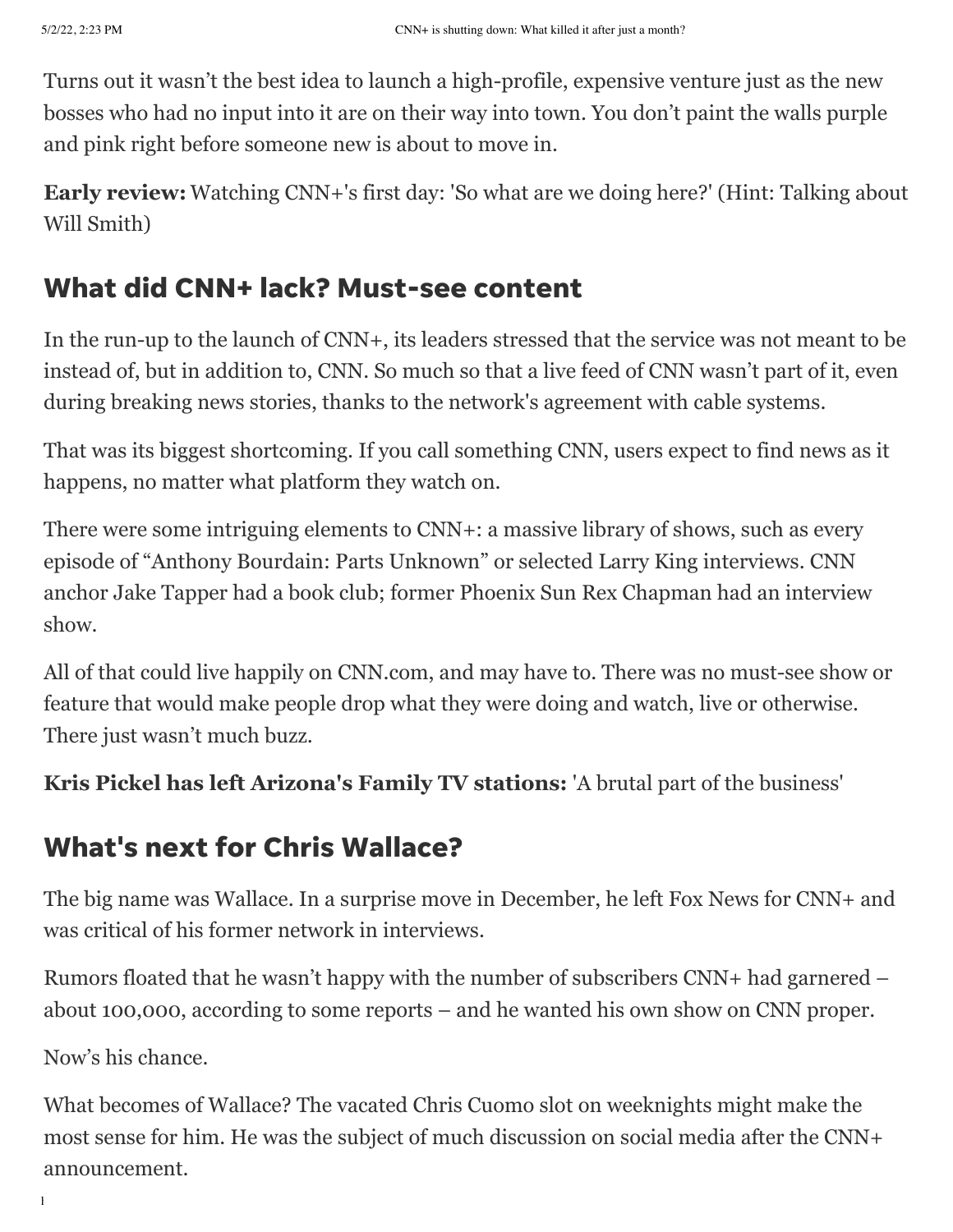Turns out it wasn't the best idea to launch a high-profile, expensive venture just as the new bosses who had no input into it are on their way into town. You don't paint the walls purple and pink right before someone new is about to move in.

**Early review:** [Watching CNN+'s first day: 'So what are we doing here?' \(Hint: Talking about](https://www.usatoday.com/story/entertainment/tv/2022/03/30/cnn-plus-launch-review/7218863001/) Will Smith)

## What did CNN+ lack? Must-see content

[In the run-up to the launch](https://www.usatoday.com/story/entertainment/media/2022/03/28/how-watch-cnn-networks-new-streaming-service/7134795001/) of CNN+, its leaders stressed that the service was not meant to be instead of, but in addition to, CNN. So much so that a live feed of CNN wasn't part of it, even during breaking news stories, thanks to the network's agreement with cable systems.

That was its biggest shortcoming. If you call something CNN, users expect to find news as it happens, no matter what platform they watch on.

There were some intriguing elements to CNN+: a massive library of shows, such as every episode of "Anthony Bourdain: Parts Unknown" or selected Larry King interviews. CNN [anchor Jake Tapper had a book club; former Phoenix Sun Rex Chapman had an interview](https://www.usatoday.com/story/entertainment/movies/billgoodykoontz/2022/04/05/rex-chapman-cnn-plus-show-review/9461752002/) show.

All of that could live happily on CNN.com, and may have to. There was no must-see show or feature that would make people drop what they were doing and watch, live or otherwise. There just wasn't much buzz.

**[Kris Pickel has left Arizona's Family TV stations:](https://www.usatoday.com/story/entertainment/media/2022/04/05/kris-pickel-fired-arizonas-family-phoenix/9478247002/)** 'A brutal part of the business'

## What's next for Chris Wallace?

The big name was Wallace. In a surprise move in December, he left Fox News for CNN+ and was critical of his former network in interviews.

Rumors floated that he wasn't happy with the number of subscribers CNN+ had garnered – about 100,000, according to some reports – and he wanted his own show on CNN proper.

Now's his chance.

What becomes of Wallace? The [vacated Chris Cuomo slot](https://www.usatoday.com/story/entertainment/media/2021/11/30/chris-cuomo-cnn-suspended/8807845002/) on weeknights might make the most sense for him. He was the subject of much discussion on social media after the CNN+ announcement.

https://www.usatoday.com/story/entertainment/tv/2022/04/21/cnn-shutdown-down-why-it-happened/7400934001/ 2/3